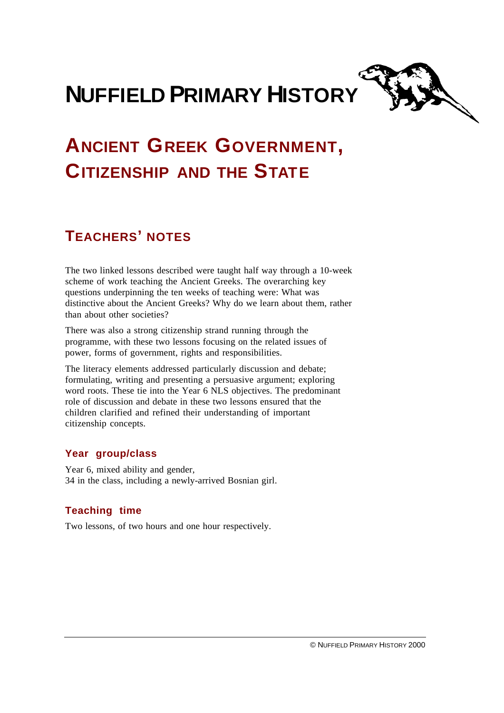



# **ANCIENT GREEK GOVERNMENT, CITIZENSHIP AND THE STATE**

## **TEACHERS' NOTES**

The two linked lessons described were taught half way through a 10-week scheme of work teaching the Ancient Greeks. The overarching key questions underpinning the ten weeks of teaching were: What was distinctive about the Ancient Greeks? Why do we learn about them, rather than about other societies?

There was also a strong citizenship strand running through the programme, with these two lessons focusing on the related issues of power, forms of government, rights and responsibilities.

The literacy elements addressed particularly discussion and debate; formulating, writing and presenting a persuasive argument; exploring word roots. These tie into the Year 6 NLS objectives. The predominant role of discussion and debate in these two lessons ensured that the children clarified and refined their understanding of important citizenship concepts.

## **Year group/class**

Year 6, mixed ability and gender, 34 in the class, including a newly-arrived Bosnian girl.

## **Teaching time**

Two lessons, of two hours and one hour respectively.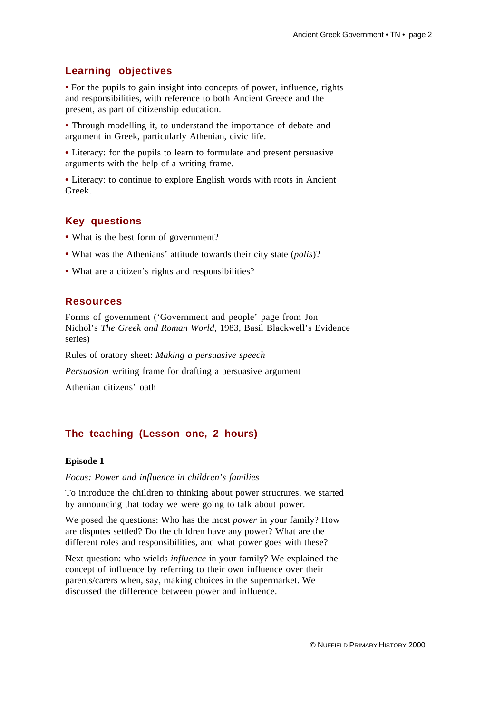## **Learning objectives**

**•** For the pupils to gain insight into concepts of power, influence, rights and responsibilities, with reference to both Ancient Greece and the present, as part of citizenship education.

**•** Through modelling it, to understand the importance of debate and argument in Greek, particularly Athenian, civic life.

**•** Literacy: for the pupils to learn to formulate and present persuasive arguments with the help of a writing frame.

**•** Literacy: to continue to explore English words with roots in Ancient Greek.

## **Key questions**

- What is the best form of government?
- **•** What was the Athenians' attitude towards their city state (*polis*)?
- **•** What are a citizen's rights and responsibilities?

#### **Resources**

Forms of government ('Government and people' page from Jon Nichol's *The Greek and Roman World,* 1983, Basil Blackwell's Evidence series)

Rules of oratory sheet: *Making a persuasive speech*

*Persuasion* writing frame for drafting a persuasive argument

Athenian citizens' oath

## **The teaching (Lesson one, 2 hours)**

#### **Episode 1**

*Focus: Power and influence in children's families*

To introduce the children to thinking about power structures, we started by announcing that today we were going to talk about power.

We posed the questions: Who has the most *power* in your family? How are disputes settled? Do the children have any power? What are the different roles and responsibilities, and what power goes with these?

Next question: who wields *influence* in your family? We explained the concept of influence by referring to their own influence over their parents/carers when, say, making choices in the supermarket. We discussed the difference between power and influence.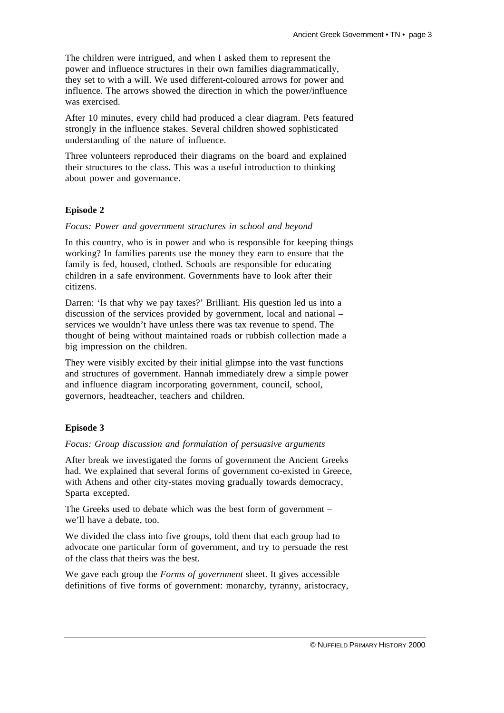The children were intrigued, and when I asked them to represent the power and influence structures in their own families diagrammatically, they set to with a will. We used different-coloured arrows for power and influence. The arrows showed the direction in which the power/influence was exercised.

After 10 minutes, every child had produced a clear diagram. Pets featured strongly in the influence stakes. Several children showed sophisticated understanding of the nature of influence.

Three volunteers reproduced their diagrams on the board and explained their structures to the class. This was a useful introduction to thinking about power and governance.

#### **Episode 2**

*Focus: Power and government structures in school and beyond*

In this country, who is in power and who is responsible for keeping things working? In families parents use the money they earn to ensure that the family is fed, housed, clothed. Schools are responsible for educating children in a safe environment. Governments have to look after their citizens.

Darren: 'Is that why we pay taxes?' Brilliant. His question led us into a discussion of the services provided by government, local and national – services we wouldn't have unless there was tax revenue to spend. The thought of being without maintained roads or rubbish collection made a big impression on the children.

They were visibly excited by their initial glimpse into the vast functions and structures of government. Hannah immediately drew a simple power and influence diagram incorporating government, council, school, governors, headteacher, teachers and children.

#### **Episode 3**

*Focus: Group discussion and formulation of persuasive arguments*

After break we investigated the forms of government the Ancient Greeks had. We explained that several forms of government co-existed in Greece, with Athens and other city-states moving gradually towards democracy, Sparta excepted.

The Greeks used to debate which was the best form of government – we'll have a debate, too.

We divided the class into five groups, told them that each group had to advocate one particular form of government, and try to persuade the rest of the class that theirs was the best.

We gave each group the *Forms of government* sheet. It gives accessible definitions of five forms of government: monarchy, tyranny, aristocracy,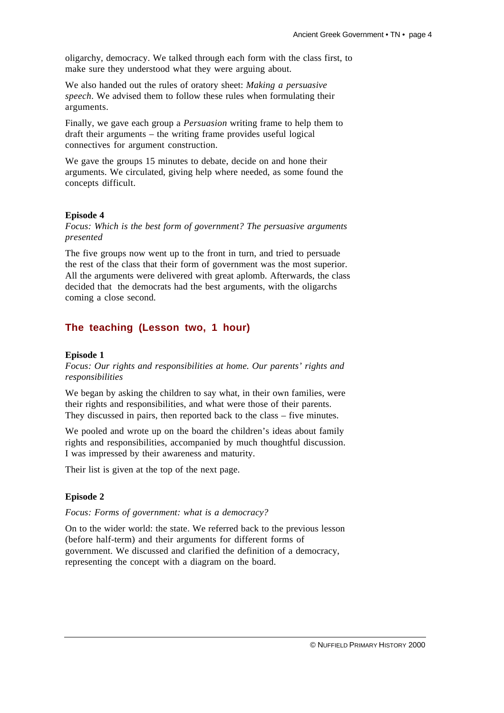oligarchy, democracy. We talked through each form with the class first, to make sure they understood what they were arguing about.

We also handed out the rules of oratory sheet: *Making a persuasive speech*. We advised them to follow these rules when formulating their arguments.

Finally, we gave each group a *Persuasion* writing frame to help them to draft their arguments – the writing frame provides useful logical connectives for argument construction.

We gave the groups 15 minutes to debate, decide on and hone their arguments. We circulated, giving help where needed, as some found the concepts difficult.

#### **Episode 4**

*Focus: Which is the best form of government? The persuasive arguments presented*

The five groups now went up to the front in turn, and tried to persuade the rest of the class that their form of government was the most superior. All the arguments were delivered with great aplomb. Afterwards, the class decided that the democrats had the best arguments, with the oligarchs coming a close second.

#### **The teaching (Lesson two, 1 hour)**

#### **Episode 1**

*Focus: Our rights and responsibilities at home. Our parents' rights and responsibilities*

We began by asking the children to say what, in their own families, were their rights and responsibilities, and what were those of their parents. They discussed in pairs, then reported back to the class – five minutes.

We pooled and wrote up on the board the children's ideas about family rights and responsibilities, accompanied by much thoughtful discussion. I was impressed by their awareness and maturity.

Their list is given at the top of the next page.

#### **Episode 2**

*Focus: Forms of government: what is a democracy?*

On to the wider world: the state. We referred back to the previous lesson (before half-term) and their arguments for different forms of government. We discussed and clarified the definition of a democracy, representing the concept with a diagram on the board.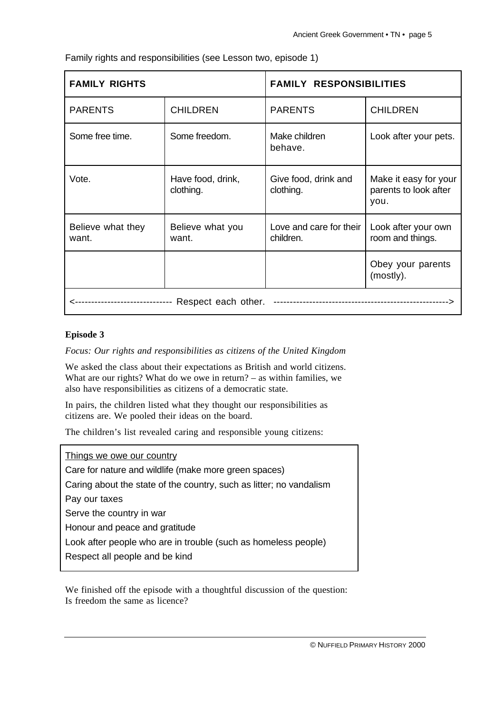| <b>FAMILY RIGHTS</b>       |                                | <b>FAMILY RESPONSIBILITIES</b>       |                                                        |
|----------------------------|--------------------------------|--------------------------------------|--------------------------------------------------------|
| <b>PARENTS</b>             | <b>CHILDREN</b>                | <b>PARENTS</b>                       | <b>CHILDREN</b>                                        |
| Some free time.            | Some freedom.                  | Make children<br>behave.             | Look after your pets.                                  |
| Vote.                      | Have food, drink,<br>clothing. | Give food, drink and<br>clothing.    | Make it easy for your<br>parents to look after<br>you. |
| Believe what they<br>want. | Believe what you<br>want.      | Love and care for their<br>children. | Look after your own<br>room and things.                |
|                            |                                |                                      | Obey your parents<br>(mostly).                         |
| Respect each other.        |                                |                                      |                                                        |

Family rights and responsibilities (see Lesson two, episode 1)

## **Episode 3**

*Focus: Our rights and responsibilities as citizens of the United Kingdom*

We asked the class about their expectations as British and world citizens. What are our rights? What do we owe in return? – as within families, we also have responsibilities as citizens of a democratic state.

In pairs, the children listed what they thought our responsibilities as citizens are. We pooled their ideas on the board.

The children's list revealed caring and responsible young citizens:

## Things we owe our country

Care for nature and wildlife (make more green spaces)

Caring about the state of the country, such as litter; no vandalism

Pay our taxes

Serve the country in war

Honour and peace and gratitude

Look after people who are in trouble (such as homeless people)

Respect all people and be kind

We finished off the episode with a thoughtful discussion of the question: Is freedom the same as licence?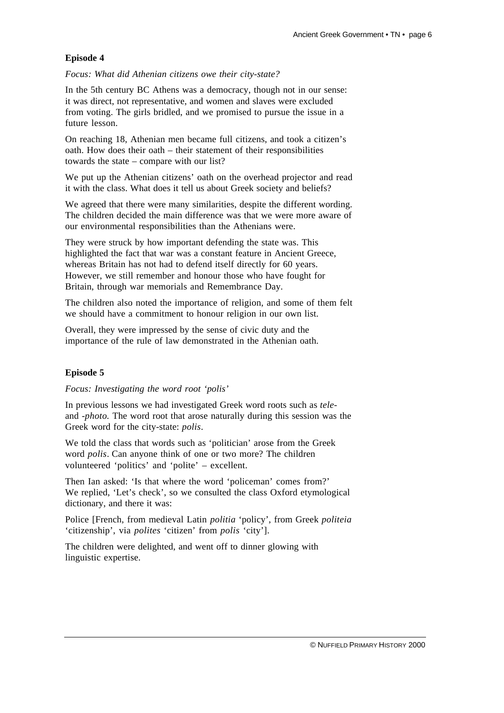### **Episode 4**

*Focus: What did Athenian citizens owe their city-state?*

In the 5th century BC Athens was a democracy, though not in our sense: it was direct, not representative, and women and slaves were excluded from voting. The girls bridled, and we promised to pursue the issue in a future lesson.

On reaching 18, Athenian men became full citizens, and took a citizen's oath. How does their oath – their statement of their responsibilities towards the state – compare with our list?

We put up the Athenian citizens' oath on the overhead projector and read it with the class. What does it tell us about Greek society and beliefs?

We agreed that there were many similarities, despite the different wording. The children decided the main difference was that we were more aware of our environmental responsibilities than the Athenians were.

They were struck by how important defending the state was. This highlighted the fact that war was a constant feature in Ancient Greece, whereas Britain has not had to defend itself directly for 60 years. However, we still remember and honour those who have fought for Britain, through war memorials and Remembrance Day.

The children also noted the importance of religion, and some of them felt we should have a commitment to honour religion in our own list.

Overall, they were impressed by the sense of civic duty and the importance of the rule of law demonstrated in the Athenian oath.

## **Episode 5**

*Focus: Investigating the word root 'polis'*

In previous lessons we had investigated Greek word roots such as *tele*and -*photo.* The word root that arose naturally during this session was the Greek word for the city-state: *polis*.

We told the class that words such as 'politician' arose from the Greek word *polis*. Can anyone think of one or two more? The children volunteered 'politics' and 'polite' – excellent.

Then Ian asked: 'Is that where the word 'policeman' comes from?' We replied, 'Let's check', so we consulted the class Oxford etymological dictionary, and there it was:

Police [French, from medieval Latin *politia* 'policy', from Greek *politeia* 'citizenship', via *polites* 'citizen' from *polis* 'city'].

The children were delighted, and went off to dinner glowing with linguistic expertise.